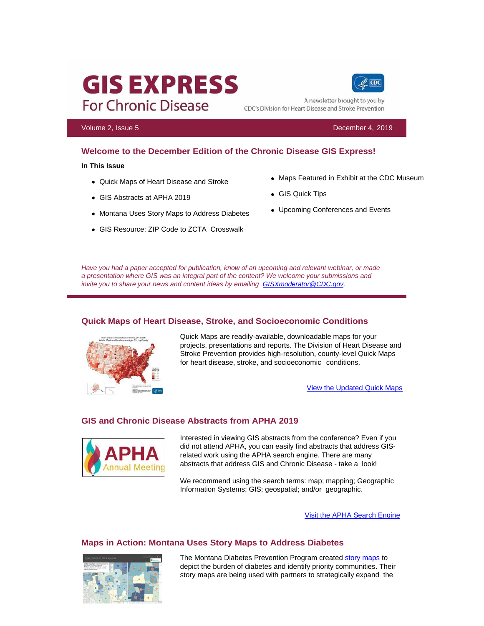# **GIS EXPRESS For Chronic Disease**

CDC A newsletter brought to you by

CDC's Division for Heart Disease and Stroke Prevention

Volume 2, Issue 5 December 4, 2019

# **Welcome to the December Edition of the Chronic Disease GIS Express!**

#### **In This Issue**

- Quick Maps of Heart Disease and Stroke
- GIS Abstracts at APHA 2019
- Montana Uses Story Maps to Address Diabetes
- GIS Resource: ZIP Code to ZCTA Crosswalk
- Maps Featured in Exhibit at the CDC Museum
- GIS Quick Tips
- Upcoming Conferences and Events

*Have you had a paper accepted for publication, know of an upcoming and relevant webinar, or made a presentation where GIS was an integral part of the content? We welcome your submissions and invite you to share your news and content ideas by emailing GISXmoderator@CDC.gov.*

# **Quick Maps of Heart Disease, Stroke, and Socioeconomic Conditions**



Quick Maps are readily-available, downloadable maps for your projects, presentations and reports. The Division of Heart Disease and Stroke Prevention provides high-resolution, county-level Quick Maps for heart disease, stroke, and socioeconomic conditions.

View the Updated Quick Maps

### **GIS and Chronic Disease Abstracts from APHA 2019**



Interested in viewing GIS abstracts from the conference? Even if you did not attend APHA, you can easily find abstracts that address GISrelated work using the APHA search engine. There are many abstracts that address GIS and Chronic Disease - take a look!

We recommend using the search terms: map; mapping; Geographic Information Systems; GIS; geospatial; and/or geographic.

Visit the APHA Search Engine

# **Maps in Action: Montana Uses Story Maps to Address Diabetes**



The Montana Diabetes Prevention Program created story maps to depict the burden of diabetes and identify priority communities. Their story maps are being used with partners to strategically expand the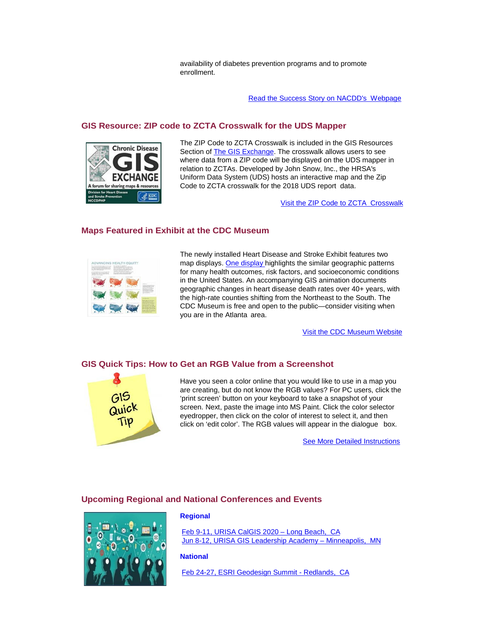availability of diabetes prevention programs and to promote enrollment.

Read the Success Story on NACDD's Webpage

# **GIS Resource: ZIP code to ZCTA Crosswalk for the UDS Mapper**



The ZIP Code to ZCTA Crosswalk is included in the GIS Resources Section of The GIS Exchange. The crosswalk allows users to see where data from a ZIP code will be displayed on the UDS mapper in relation to ZCTAs. Developed by John Snow, Inc., the HRSA's Uniform Data System (UDS) hosts an interactive map and the Zip Code to ZCTA crosswalk for the 2018 UDS report data.

Visit the ZIP Code to ZCTA Crosswalk

# **Maps Featured in Exhibit at the CDC Museum**



The newly installed Heart Disease and Stroke Exhibit features two map displays. One display highlights the similar geographic patterns for many health outcomes, risk factors, and socioeconomic conditions in the United States. An accompanying GIS animation documents geographic changes in heart disease death rates over 40+ years, with the high-rate counties shifting from the Northeast to the South. The CDC Museum is free and open to the public—consider visiting when you are in the Atlanta area.

Visit the CDC Museum Website

### **GIS Quick Tips: How to Get an RGB Value from a Screenshot**



Have you seen a color online that you would like to use in a map you are creating, but do not know the RGB values? For PC users, click the 'print screen' button on your keyboard to take a snapshot of your screen. Next, paste the image into MS Paint. Click the color selector eyedropper, then click on the color of interest to select it, and then click on 'edit color'. The RGB values will appear in the dialogue box.

See More Detailed Instructions

# **Upcoming Regional and National Conferences and Events**



#### **Regional**

Feb 9-11, URISA CalGIS 2020 – Long Beach, CA Jun 8-12, URISA GIS Leadership Academy – Minneapolis, MN

# **National**

Feb 24-27, ESRI Geodesign Summit - Redlands, CA